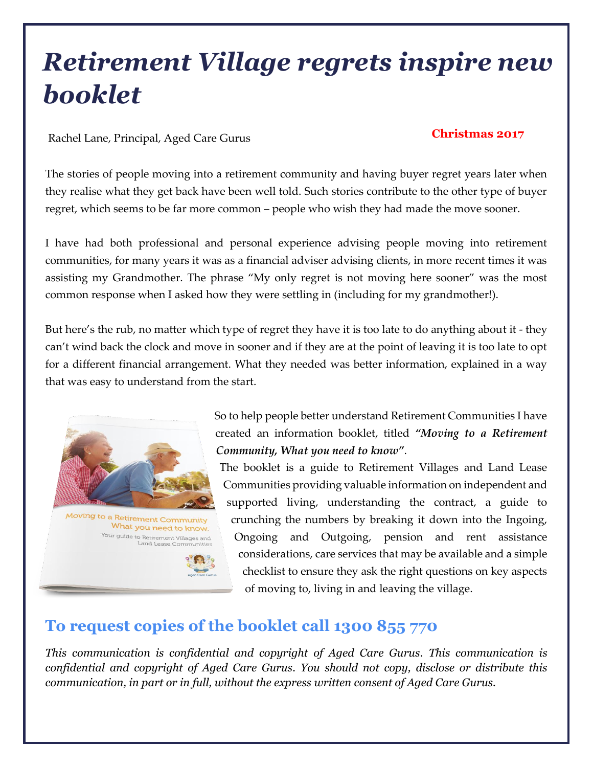# *Retirement Village regrets inspire new booklet*

Rachel Lane, Principal, Aged Care Gurus **Christmas <sup>2017</sup>**

The stories of people moving into a retirement community and having buyer regret years later when they realise what they get back have been well told. Such stories contribute to the other type of buyer regret, which seems to be far more common – people who wish they had made the move sooner.

I have had both professional and personal experience advising people moving into retirement communities, for many years it was as a financial adviser advising clients, in more recent times it was assisting my Grandmother. The phrase "My only regret is not moving here sooner" was the most common response when I asked how they were settling in (including for my grandmother!).

But here's the rub, no matter which type of regret they have it is too late to do anything about it - they can't wind back the clock and move in sooner and if they are at the point of leaving it is too late to opt for a different financial arrangement. What they needed was better information, explained in a way that was easy to understand from the start.



Moving to a Retirement Community What you need to know. Your guide to Retirement Villages and<br>Land Lease Communities

So to help people better understand Retirement Communities I have created an information booklet, titled *"Moving to a Retirement Community, What you need to know"*.

The booklet is a guide to Retirement Villages and Land Lease Communities providing valuable information on independent and supported living, understanding the contract, a guide to crunching the numbers by breaking it down into the Ingoing, Ongoing and Outgoing, pension and rent assistance considerations, care services that may be available and a simple checklist to ensure they ask the right questions on key aspects of moving to, living in and leaving the village.

### **To request copies of the booklet call 1300 855 770**

*This communication is confidential and copyright of Aged Care Gurus. This communication is confidential and copyright of Aged Care Gurus. You should not copy, disclose or distribute this communication, in part or in full, without the express written consent of Aged Care Gurus.*